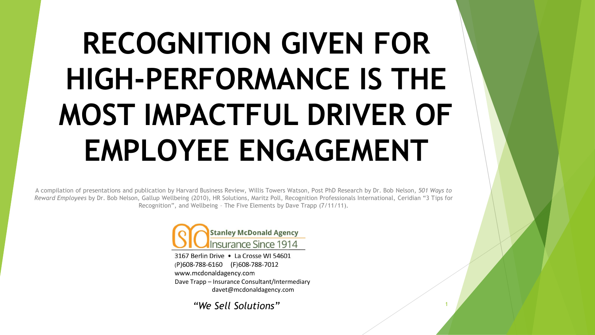# **RECOGNITION GIVEN FOR HIGH-PERFORMANCE IS THE MOST IMPACTFUL DRIVER OF EMPLOYEE ENGAGEMENT**

A compilation of presentations and publication by Harvard Business Review, Willis Towers Watson, Post PhD Research by Dr. Bob Nelson, *501 Ways to Reward Employees* by Dr. Bob Nelson, Gallup Wellbeing (2010), HR Solutions, Maritz Poll, Recognition Professionals International, Ceridian "3 Tips for Recognition", and Wellbeing – The Five Elements by Dave Trapp (7/11/11).



3167 Berlin Drive . La Crosse WI 54601 (P)608-788-6160 (F)608-788-7012 www.mcdonaldagency.com Dave Trapp – Insurance Consultant/Intermediary davet@mcdonaldagency.com

*"We Sell Solutions"*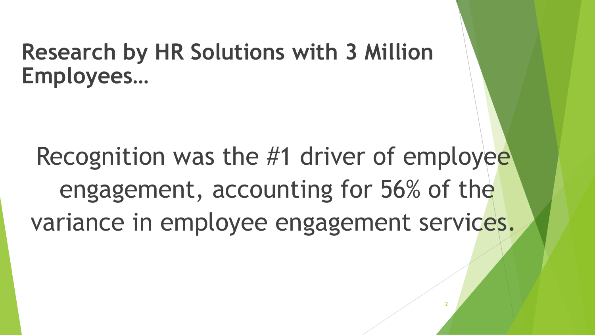### **Research by HR Solutions with 3 Million Employees…**

Recognition was the #1 driver of employee engagement, accounting for 56% of the variance in employee engagement services.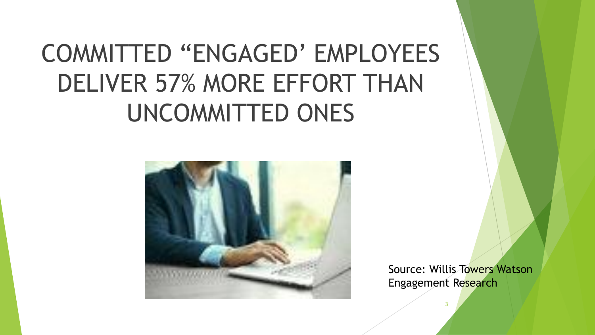## COMMITTED "ENGAGED' EMPLOYEES DELIVER 57% MORE EFFORT THAN UNCOMMITTED ONES



Source: Willis Towers Watson Engagement Research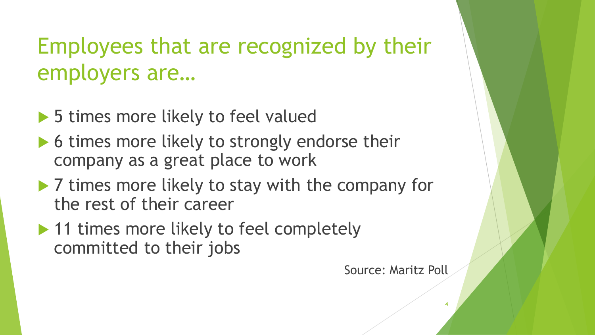### Employees that are recognized by their employers are…

- ▶ 5 times more likely to feel valued
- ▶ 6 times more likely to strongly endorse their company as a great place to work
- ▶ 7 times more likely to stay with the company for the rest of their career
- ▶ 11 times more likely to feel completely committed to their jobs

Source: Maritz Poll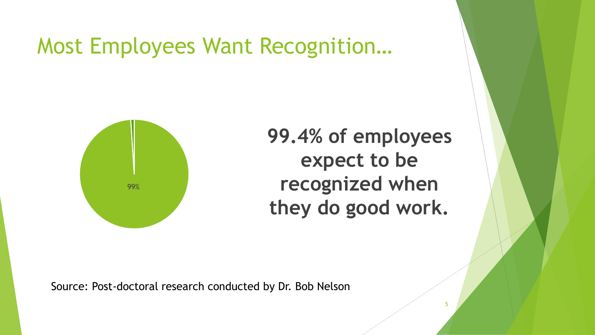Most Employees Want Recognition…



**99.4% of employees expect to be recognized when they do good work.**

5

Source: Post-doctoral research conducted by Dr. Bob Nelson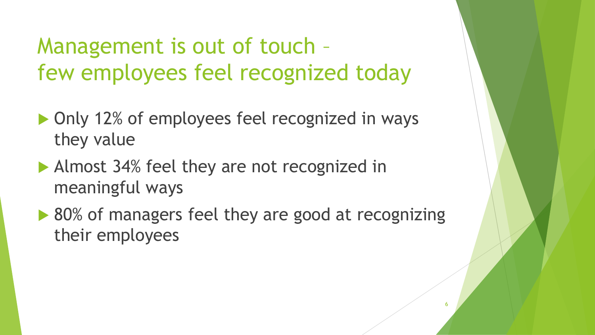Management is out of touch – few employees feel recognized today

- ▶ Only 12% of employees feel recognized in ways they value
- Almost 34% feel they are not recognized in meaningful ways
- ▶ 80% of managers feel they are good at recognizing their employees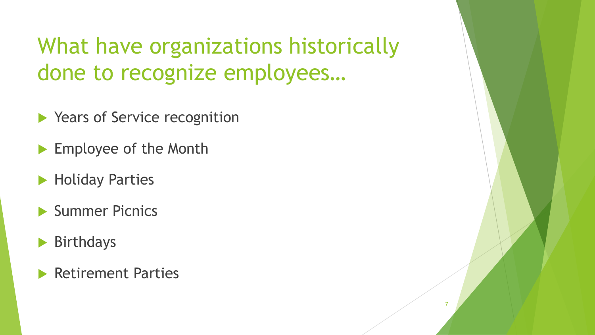What have organizations historically done to recognize employees…

- ▶ Years of Service recognition
- Employee of the Month
- **Holiday Parties**
- Summer Picnics
- Birthdays
- Retirement Parties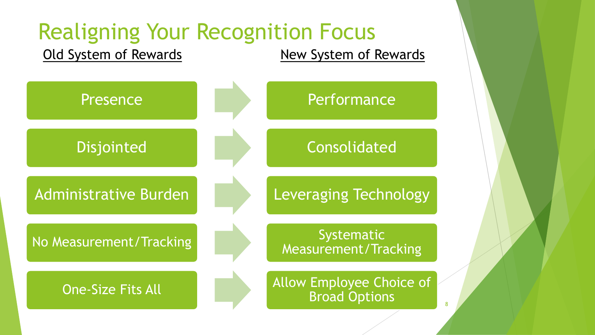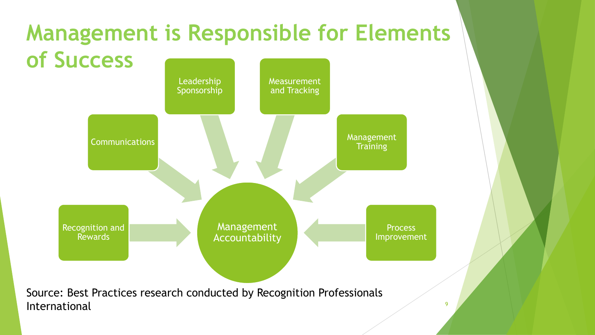#### **Communications** Leadership Sponsorship Measurement and Tracking Management **Management is Responsible for Elements of Success**

Management Accountability **Training** 

**Process** Improvement

Source: Best Practices research conducted by Recognition Professionals International and the set of the set of the set of the set of the set of the set of the set of the set of the set of the set of the set of the set of the set of the set of the set of the set of the set of the set of the se

Recognition and Rewards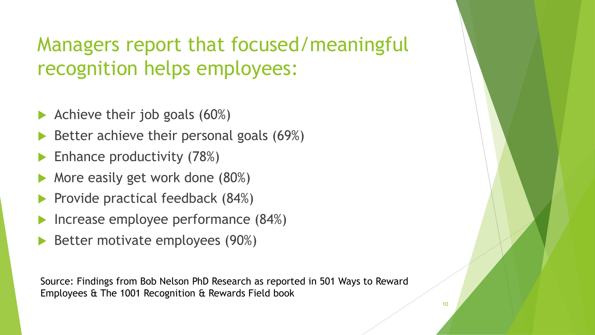### Managers report that focused/meaningful recognition helps employees:

- Achieve their job goals (60%)
- Better achieve their personal goals (69%)
- Enhance productivity (78%)
- More easily get work done (80%)
- Provide practical feedback (84%)
- Increase employee performance (84%)
- Better motivate employees (90%)

Source: Findings from Bob Nelson PhD Research as reported in 501 Ways to Reward Employees & The 1001 Recognition & Rewards Field book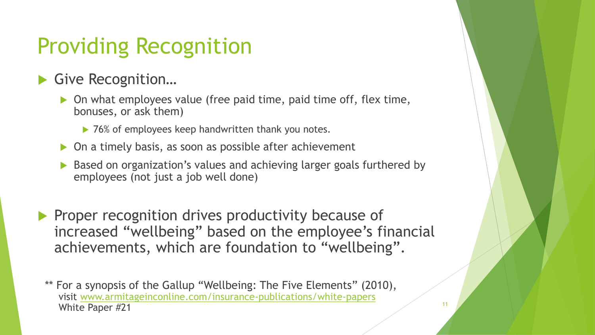### Providing Recognition

#### ▶ Give Recognition...

- ▶ On what employees value (free paid time, paid time off, flex time, bonuses, or ask them)
	- ▶ 76% of employees keep handwritten thank you notes.
- ▶ On a timely basis, as soon as possible after achievement
- Based on organization's values and achieving larger goals furthered by employees (not just a job well done)
- Proper recognition drives productivity because of increased "wellbeing" based on the employee's financial achievements, which are foundation to "wellbeing".

\*\* For a synopsis of the Gallup "Wellbeing: The Five Elements" (2010), visit [www.armitageinconline.com/insurance-publications/white-papers](http://www.armitageinconline.com/insurance-publications/white-papers) White Paper #21 11